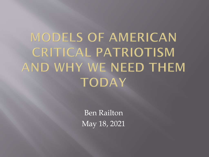# **MODELS OF AMERICAN CRITICAL PATRIOTISM** AND WHY WE NEED THEM **TODAY**

Ben Railton May 18, 2021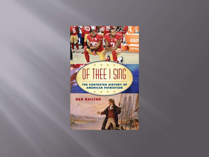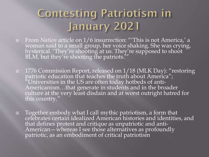#### **Contesting Patriotism in** January 2021

- From *Nation* article on 1/6 insurrection: "'This is not America,' a woman said to a small group, her voice shaking. She was crying, hysterical. 'They're shooting at us. They're supposed to shoot BLM, but they're shooting the patriots.'''
- □ 1776 Commission Report, released on 1/18 (MLK Day): "restoring patriotic education that teaches the truth about America";  $\mathrm{^{\textit{''}}}$ Universities in the US are often today hotbeds of anti-Americanism…that generate in students and in the broader culture at the very least disdain and at worst outright hatred for this country."
- Together embody what I call mythic patriotism, a form that celebrates certain idealized American histories and identities, and that defines protest and critique as unpatriotic and anti-American—whereas I see those alternatives as profoundly patriotic, as an embodiment of critical patriotism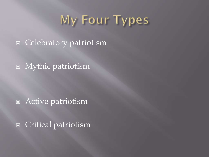# My Four Types

□ Celebratory patriotism

Mythic patriotism

Active patriotism

Critical patriotism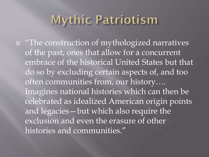## **Mythic Patriotism**

□ "The construction of mythologized narratives of the past, ones that allow for a concurrent embrace of the historical United States but that do so by excluding certain aspects of, and too often communities from, our history…. Imagines national histories which can then be celebrated as idealized American origin points and legacies—but which also require the exclusion and even the erasure of other histories and communities."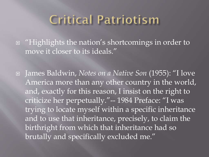## **Critical Patriotism**

□ "Highlights the nation's shortcomings in order to move it closer to its ideals."

 James Baldwin, *Notes on a Native Son* (1955): "I love America more than any other country in the world, and, exactly for this reason, I insist on the right to criticize her perpetually."-- 1984 Preface: "I was trying to locate myself within a specific inheritance and to use that inheritance, precisely, to claim the birthright from which that inheritance had so brutally and specifically excluded me."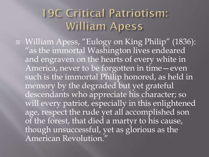#### **19C Critical Patriotism: William Apess**

 William Apess, "Eulogy on King Philip" (1836): "as the immortal Washington lives endeared and engraven on the hearts of every white in America, never to be forgotten in time—even such is the immortal Philip honored, as held in memory by the degraded but yet grateful descendants who appreciate his character; so will every patriot, especially in this enlightened age, respect the rude yet all accomplished son of the forest, that died a martyr to his cause, though unsuccessful, yet as glorious as the American Revolution."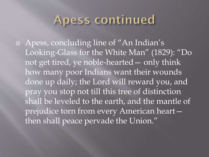#### Apess continued

 Apess, concluding line of "An Indian's Looking-Glass for the White Man" (1829): "Do not get tired, ye noble-hearted— only think how many poor Indians want their wounds done up daily; the Lord will reward you, and pray you stop not till this tree of distinction shall be leveled to the earth, and the mantle of prejudice torn from every American heart then shall peace pervade the Union."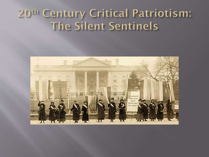## 20th Century Critical Patriotism: The Silent Sentinels

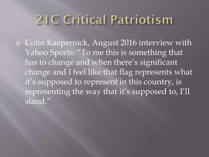# 21C Critical Patriotism

□ Colin Kaepernick, August 2016 interview with Yahoo Sports: "To me this is something that has to change and when there's significant change and I feel like that flag represents what it's supposed to represent in this country, is representing the way that it's supposed to, I'll stand."